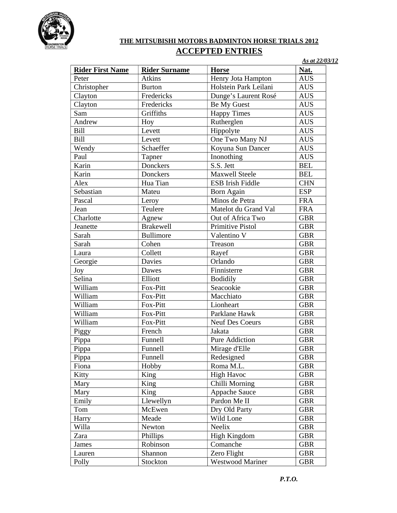

## **THE MITSUBISHI MOTORS BADMINTON HORSE TRIALS 2012 ACCEPTED ENTRIES**

*As at 22/03/12*

| Atkins<br>Henry Jota Hampton<br><b>AUS</b><br>Peter<br>Christopher<br>Holstein Park Leilani<br><b>Burton</b><br><b>AUS</b><br>Fredericks<br>Dunge's Laurent Rosé<br><b>AUS</b><br>Clayton<br>Fredericks<br>Be My Guest<br>Clayton<br><b>AUS</b><br>Griffiths<br>Sam<br><b>Happy Times</b><br><b>AUS</b><br>Rutherglen<br>Andrew<br><b>AUS</b><br>Hoy<br>Bill<br>Levett<br>Hippolyte<br><b>AUS</b><br>One Two Many NJ<br>Bill<br>Levett<br><b>AUS</b><br>Wendy<br>Schaeffer<br>Koyuna Sun Dancer<br><b>AUS</b><br>Paul<br>Inonothing<br><b>AUS</b><br>Tapner<br>Karin<br>Donckers<br>S.S. Jett<br><b>BEL</b><br>Donckers<br>Karin<br><b>Maxwell Steele</b><br><b>BEL</b><br>Hua Tian<br>ESB Irish Fiddle<br><b>CHN</b><br>Alex<br>Sebastian<br><b>ESP</b><br>Mateu<br><b>Born Again</b><br>Minos de Petra<br><b>FRA</b><br>Pascal<br>Leroy<br>Teulere<br>Jean<br>Matelot du Grand Val<br><b>FRA</b><br>Charlotte<br>Out of Africa Two<br><b>GBR</b><br>Agnew<br>Primitive Pistol<br><b>GBR</b><br><b>Brakewell</b><br>Jeanette<br>Sarah<br><b>Bullimore</b><br>Valentino V<br><b>GBR</b><br>Cohen<br>Sarah<br><b>GBR</b><br>Treason<br>Collett<br>Rayef<br><b>GBR</b><br>Laura<br>Georgie<br>Davies<br>Orlando<br><b>GBR</b><br>Finnisterre<br>Dawes<br><b>GBR</b><br>Joy<br>Selina<br>Elliott<br><b>Bodidily</b><br><b>GBR</b><br>William<br>Fox-Pitt<br>Seacookie<br><b>GBR</b> | <b>Rider First Name</b> | <b>Rider Surname</b> | <b>Horse</b> | Nat.       |
|----------------------------------------------------------------------------------------------------------------------------------------------------------------------------------------------------------------------------------------------------------------------------------------------------------------------------------------------------------------------------------------------------------------------------------------------------------------------------------------------------------------------------------------------------------------------------------------------------------------------------------------------------------------------------------------------------------------------------------------------------------------------------------------------------------------------------------------------------------------------------------------------------------------------------------------------------------------------------------------------------------------------------------------------------------------------------------------------------------------------------------------------------------------------------------------------------------------------------------------------------------------------------------------------------------------------------------------------------------------------------------|-------------------------|----------------------|--------------|------------|
|                                                                                                                                                                                                                                                                                                                                                                                                                                                                                                                                                                                                                                                                                                                                                                                                                                                                                                                                                                                                                                                                                                                                                                                                                                                                                                                                                                                  |                         |                      |              |            |
|                                                                                                                                                                                                                                                                                                                                                                                                                                                                                                                                                                                                                                                                                                                                                                                                                                                                                                                                                                                                                                                                                                                                                                                                                                                                                                                                                                                  |                         |                      |              |            |
|                                                                                                                                                                                                                                                                                                                                                                                                                                                                                                                                                                                                                                                                                                                                                                                                                                                                                                                                                                                                                                                                                                                                                                                                                                                                                                                                                                                  |                         |                      |              |            |
|                                                                                                                                                                                                                                                                                                                                                                                                                                                                                                                                                                                                                                                                                                                                                                                                                                                                                                                                                                                                                                                                                                                                                                                                                                                                                                                                                                                  |                         |                      |              |            |
|                                                                                                                                                                                                                                                                                                                                                                                                                                                                                                                                                                                                                                                                                                                                                                                                                                                                                                                                                                                                                                                                                                                                                                                                                                                                                                                                                                                  |                         |                      |              |            |
|                                                                                                                                                                                                                                                                                                                                                                                                                                                                                                                                                                                                                                                                                                                                                                                                                                                                                                                                                                                                                                                                                                                                                                                                                                                                                                                                                                                  |                         |                      |              |            |
|                                                                                                                                                                                                                                                                                                                                                                                                                                                                                                                                                                                                                                                                                                                                                                                                                                                                                                                                                                                                                                                                                                                                                                                                                                                                                                                                                                                  |                         |                      |              |            |
|                                                                                                                                                                                                                                                                                                                                                                                                                                                                                                                                                                                                                                                                                                                                                                                                                                                                                                                                                                                                                                                                                                                                                                                                                                                                                                                                                                                  |                         |                      |              |            |
|                                                                                                                                                                                                                                                                                                                                                                                                                                                                                                                                                                                                                                                                                                                                                                                                                                                                                                                                                                                                                                                                                                                                                                                                                                                                                                                                                                                  |                         |                      |              |            |
|                                                                                                                                                                                                                                                                                                                                                                                                                                                                                                                                                                                                                                                                                                                                                                                                                                                                                                                                                                                                                                                                                                                                                                                                                                                                                                                                                                                  |                         |                      |              |            |
|                                                                                                                                                                                                                                                                                                                                                                                                                                                                                                                                                                                                                                                                                                                                                                                                                                                                                                                                                                                                                                                                                                                                                                                                                                                                                                                                                                                  |                         |                      |              |            |
|                                                                                                                                                                                                                                                                                                                                                                                                                                                                                                                                                                                                                                                                                                                                                                                                                                                                                                                                                                                                                                                                                                                                                                                                                                                                                                                                                                                  |                         |                      |              |            |
|                                                                                                                                                                                                                                                                                                                                                                                                                                                                                                                                                                                                                                                                                                                                                                                                                                                                                                                                                                                                                                                                                                                                                                                                                                                                                                                                                                                  |                         |                      |              |            |
|                                                                                                                                                                                                                                                                                                                                                                                                                                                                                                                                                                                                                                                                                                                                                                                                                                                                                                                                                                                                                                                                                                                                                                                                                                                                                                                                                                                  |                         |                      |              |            |
|                                                                                                                                                                                                                                                                                                                                                                                                                                                                                                                                                                                                                                                                                                                                                                                                                                                                                                                                                                                                                                                                                                                                                                                                                                                                                                                                                                                  |                         |                      |              |            |
|                                                                                                                                                                                                                                                                                                                                                                                                                                                                                                                                                                                                                                                                                                                                                                                                                                                                                                                                                                                                                                                                                                                                                                                                                                                                                                                                                                                  |                         |                      |              |            |
|                                                                                                                                                                                                                                                                                                                                                                                                                                                                                                                                                                                                                                                                                                                                                                                                                                                                                                                                                                                                                                                                                                                                                                                                                                                                                                                                                                                  |                         |                      |              |            |
|                                                                                                                                                                                                                                                                                                                                                                                                                                                                                                                                                                                                                                                                                                                                                                                                                                                                                                                                                                                                                                                                                                                                                                                                                                                                                                                                                                                  |                         |                      |              |            |
|                                                                                                                                                                                                                                                                                                                                                                                                                                                                                                                                                                                                                                                                                                                                                                                                                                                                                                                                                                                                                                                                                                                                                                                                                                                                                                                                                                                  |                         |                      |              |            |
|                                                                                                                                                                                                                                                                                                                                                                                                                                                                                                                                                                                                                                                                                                                                                                                                                                                                                                                                                                                                                                                                                                                                                                                                                                                                                                                                                                                  |                         |                      |              |            |
|                                                                                                                                                                                                                                                                                                                                                                                                                                                                                                                                                                                                                                                                                                                                                                                                                                                                                                                                                                                                                                                                                                                                                                                                                                                                                                                                                                                  |                         |                      |              |            |
|                                                                                                                                                                                                                                                                                                                                                                                                                                                                                                                                                                                                                                                                                                                                                                                                                                                                                                                                                                                                                                                                                                                                                                                                                                                                                                                                                                                  |                         |                      |              |            |
|                                                                                                                                                                                                                                                                                                                                                                                                                                                                                                                                                                                                                                                                                                                                                                                                                                                                                                                                                                                                                                                                                                                                                                                                                                                                                                                                                                                  |                         |                      |              |            |
|                                                                                                                                                                                                                                                                                                                                                                                                                                                                                                                                                                                                                                                                                                                                                                                                                                                                                                                                                                                                                                                                                                                                                                                                                                                                                                                                                                                  |                         |                      |              |            |
|                                                                                                                                                                                                                                                                                                                                                                                                                                                                                                                                                                                                                                                                                                                                                                                                                                                                                                                                                                                                                                                                                                                                                                                                                                                                                                                                                                                  |                         |                      |              |            |
|                                                                                                                                                                                                                                                                                                                                                                                                                                                                                                                                                                                                                                                                                                                                                                                                                                                                                                                                                                                                                                                                                                                                                                                                                                                                                                                                                                                  | William                 | Fox-Pitt             | Macchiato    | <b>GBR</b> |
| William<br>Lionheart<br><b>GBR</b><br>Fox-Pitt                                                                                                                                                                                                                                                                                                                                                                                                                                                                                                                                                                                                                                                                                                                                                                                                                                                                                                                                                                                                                                                                                                                                                                                                                                                                                                                                   |                         |                      |              |            |
| William<br>Fox-Pitt<br>Parklane Hawk<br><b>GBR</b>                                                                                                                                                                                                                                                                                                                                                                                                                                                                                                                                                                                                                                                                                                                                                                                                                                                                                                                                                                                                                                                                                                                                                                                                                                                                                                                               |                         |                      |              |            |
| William<br>Neuf Des Coeurs<br>Fox-Pitt<br><b>GBR</b>                                                                                                                                                                                                                                                                                                                                                                                                                                                                                                                                                                                                                                                                                                                                                                                                                                                                                                                                                                                                                                                                                                                                                                                                                                                                                                                             |                         |                      |              |            |
| Jakata<br>Piggy<br>French<br><b>GBR</b>                                                                                                                                                                                                                                                                                                                                                                                                                                                                                                                                                                                                                                                                                                                                                                                                                                                                                                                                                                                                                                                                                                                                                                                                                                                                                                                                          |                         |                      |              |            |
| <b>Pure Addiction</b><br>Pippa<br>Funnell<br><b>GBR</b>                                                                                                                                                                                                                                                                                                                                                                                                                                                                                                                                                                                                                                                                                                                                                                                                                                                                                                                                                                                                                                                                                                                                                                                                                                                                                                                          |                         |                      |              |            |
| Pippa<br>Funnell<br>Mirage d'Elle<br><b>GBR</b>                                                                                                                                                                                                                                                                                                                                                                                                                                                                                                                                                                                                                                                                                                                                                                                                                                                                                                                                                                                                                                                                                                                                                                                                                                                                                                                                  |                         |                      |              |            |
| Pippa<br>Funnell<br>Redesigned<br><b>GBR</b>                                                                                                                                                                                                                                                                                                                                                                                                                                                                                                                                                                                                                                                                                                                                                                                                                                                                                                                                                                                                                                                                                                                                                                                                                                                                                                                                     |                         |                      |              |            |
| Fiona<br>Hobby<br>Roma M.L.<br><b>GBR</b>                                                                                                                                                                                                                                                                                                                                                                                                                                                                                                                                                                                                                                                                                                                                                                                                                                                                                                                                                                                                                                                                                                                                                                                                                                                                                                                                        |                         |                      |              |            |
| King<br><b>High Havoc</b><br><b>GBR</b><br>Kitty                                                                                                                                                                                                                                                                                                                                                                                                                                                                                                                                                                                                                                                                                                                                                                                                                                                                                                                                                                                                                                                                                                                                                                                                                                                                                                                                 |                         |                      |              |            |
| King<br>Chilli Morning<br>Mary<br><b>GBR</b>                                                                                                                                                                                                                                                                                                                                                                                                                                                                                                                                                                                                                                                                                                                                                                                                                                                                                                                                                                                                                                                                                                                                                                                                                                                                                                                                     |                         |                      |              |            |
| King<br>Appache Sauce<br>Mary<br><b>GBR</b>                                                                                                                                                                                                                                                                                                                                                                                                                                                                                                                                                                                                                                                                                                                                                                                                                                                                                                                                                                                                                                                                                                                                                                                                                                                                                                                                      |                         |                      |              |            |
| Llewellyn<br>Pardon Me II<br>Emily<br><b>GBR</b>                                                                                                                                                                                                                                                                                                                                                                                                                                                                                                                                                                                                                                                                                                                                                                                                                                                                                                                                                                                                                                                                                                                                                                                                                                                                                                                                 |                         |                      |              |            |
| McEwen<br>Dry Old Party<br><b>GBR</b><br>Tom                                                                                                                                                                                                                                                                                                                                                                                                                                                                                                                                                                                                                                                                                                                                                                                                                                                                                                                                                                                                                                                                                                                                                                                                                                                                                                                                     |                         |                      |              |            |
| Wild Lone<br>Meade<br><b>GBR</b><br>Harry                                                                                                                                                                                                                                                                                                                                                                                                                                                                                                                                                                                                                                                                                                                                                                                                                                                                                                                                                                                                                                                                                                                                                                                                                                                                                                                                        |                         |                      |              |            |
| Willa<br>Newton<br>Neelix<br><b>GBR</b>                                                                                                                                                                                                                                                                                                                                                                                                                                                                                                                                                                                                                                                                                                                                                                                                                                                                                                                                                                                                                                                                                                                                                                                                                                                                                                                                          |                         |                      |              |            |
| Phillips<br>High Kingdom<br><b>GBR</b><br>Zara                                                                                                                                                                                                                                                                                                                                                                                                                                                                                                                                                                                                                                                                                                                                                                                                                                                                                                                                                                                                                                                                                                                                                                                                                                                                                                                                   |                         |                      |              |            |
| Comanche<br><b>GBR</b><br>Robinson<br>James                                                                                                                                                                                                                                                                                                                                                                                                                                                                                                                                                                                                                                                                                                                                                                                                                                                                                                                                                                                                                                                                                                                                                                                                                                                                                                                                      |                         |                      |              |            |
| Zero Flight<br>Shannon<br><b>GBR</b><br>Lauren                                                                                                                                                                                                                                                                                                                                                                                                                                                                                                                                                                                                                                                                                                                                                                                                                                                                                                                                                                                                                                                                                                                                                                                                                                                                                                                                   |                         |                      |              |            |
| Westwood Mariner<br>Stockton<br><b>GBR</b><br>Polly                                                                                                                                                                                                                                                                                                                                                                                                                                                                                                                                                                                                                                                                                                                                                                                                                                                                                                                                                                                                                                                                                                                                                                                                                                                                                                                              |                         |                      |              |            |